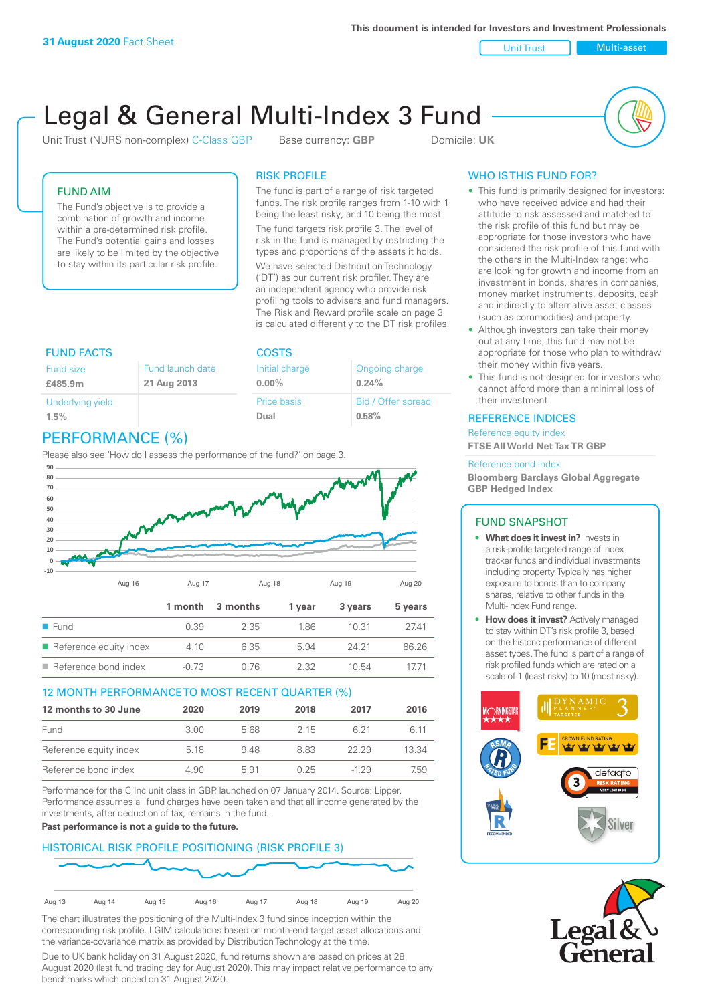**This document is intended for Investors and Investment Professionals**

Unit Trust Nulti-asset

# Legal & General Multi-Index 3 Fund

Unit Trust (NURS non-complex) C-Class GBP Base currency: **GBP** Domicile: UK



### FUND AIM

The Fund's objective is to provide a combination of growth and income within a pre-determined risk profile. The Fund's potential gains and losses are likely to be limited by the objective to stay within its particular risk profile.

### RISK PROFILE

**COSTS** 

Initial charge **0.00%**

Price basis **Dual**

The fund is part of a range of risk targeted funds. The risk profile ranges from 1-10 with 1 being the least risky, and 10 being the most.

The fund targets risk profile 3. The level of risk in the fund is managed by restricting the types and proportions of the assets it holds. We have selected Distribution Technology ('DT') as our current risk profiler. They are an independent agency who provide risk profiling tools to advisers and fund managers. The Risk and Reward profile scale on page 3 is calculated differently to the DT risk profiles.

Ongoing charge

Bid / Offer spread

**0.24%**

**0.58%**

| <b>FUND FACTS</b>        |                                 |
|--------------------------|---------------------------------|
| Fund size<br>£485.9m     | Fund launch date<br>21 Aug 2013 |
| Underlying yield<br>1.5% |                                 |

# PERFORMANCE (%)

Please also see 'How do I assess the performance of the fund?' on page 3.



### 12 MONTH PERFORMANCE TO MOST RECENT QUARTER (%)

| 12 months to 30 June   | 2020 | 2019 | 2018 | 2017   | 2016  |
|------------------------|------|------|------|--------|-------|
| Fund                   | 3.00 | 568  | 2.15 | 6.21   | 6 11  |
| Reference equity index | 5.18 | 948  | 883  | 22.29  | 13.34 |
| Reference bond index   | 4.90 | 5.91 | 0.25 | $-129$ | 7.59  |

Performance for the C Inc unit class in GBP, launched on 07 January 2014. Source: Lipper. Performance assumes all fund charges have been taken and that all income generated by the investments, after deduction of tax, remains in the fund.

### **Past performance is not a guide to the future.**

### HISTORICAL RISK PROFILE POSITIONING (RISK PROFILE 3)



The chart illustrates the positioning of the Multi-Index 3 fund since inception within the corresponding risk profile. LGIM calculations based on month-end target asset allocations and the variance-covariance matrix as provided by Distribution Technology at the time.

Due to UK bank holiday on 31 August 2020, fund returns shown are based on prices at 28 August 2020 (last fund trading day for August 2020). This may impact relative performance to any benchmarks which priced on 31 August 2020.

## WHO IS THIS FUND FOR?

- This fund is primarily designed for investors: who have received advice and had their attitude to risk assessed and matched to the risk profile of this fund but may be appropriate for those investors who have considered the risk profile of this fund with the others in the Multi-Index range; who are looking for growth and income from an investment in bonds, shares in companies, money market instruments, deposits, cash and indirectly to alternative asset classes (such as commodities) and property.
- Although investors can take their money out at any time, this fund may not be appropriate for those who plan to withdraw their money within five years.
- This fund is not designed for investors who cannot afford more than a minimal loss of their investment.

### REFERENCE INDICES

Reference equity index **FTSE All World Net Tax TR GBP**

#### Reference bond index

**Bloomberg Barclays Global Aggregate GBP Hedged Index**

### FUND SNAPSHOT

- **• What does it invest in?** Invests in a risk-profile targeted range of index tracker funds and individual investments including property. Typically has higher exposure to bonds than to company shares, relative to other funds in the Multi-Index Fund range.
- **• How does it invest?** Actively managed to stay within DT's risk profile 3, based on the historic performance of different asset types. The fund is part of a range of risk profiled funds which are rated on a scale of 1 (least risky) to 10 (most risky).



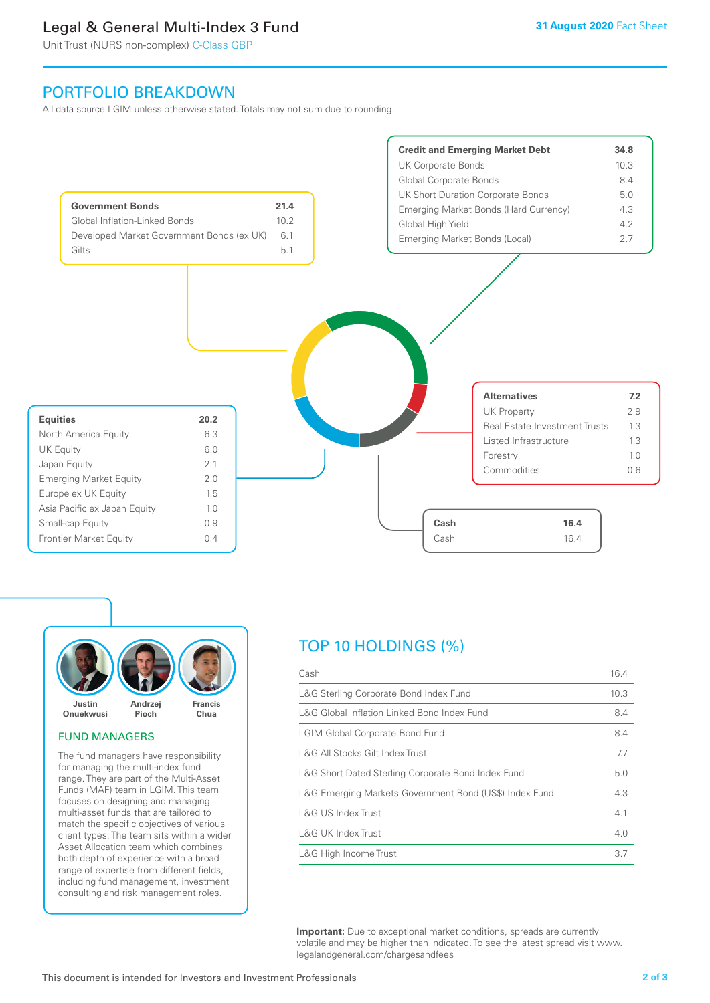# Legal & General Multi-Index 3 Fund

Unit Trust (NURS non-complex) C-Class GBP

## PORTFOLIO BREAKDOWN

All data source LGIM unless otherwise stated. Totals may not sum due to rounding.





#### FUND MANAGERS

The fund managers have responsibility for managing the multi-index fund range. They are part of the Multi-Asset Funds (MAF) team in LGIM. This team focuses on designing and managing multi-asset funds that are tailored to match the specific objectives of various client types. The team sits within a wider Asset Allocation team which combines both depth of experience with a broad range of expertise from different fields, including fund management, investment consulting and risk management roles.

# TOP 10 HOLDINGS (%)

| Cash                                                   | 16.4 |
|--------------------------------------------------------|------|
| L&G Sterling Corporate Bond Index Fund                 | 10.3 |
| L&G Global Inflation Linked Bond Index Fund            | 8.4  |
| <b>LGIM Global Corporate Bond Fund</b>                 | 8.4  |
| L&G All Stocks Gilt Index Trust                        | 7.7  |
| L&G Short Dated Sterling Corporate Bond Index Fund     | 5.0  |
| L&G Emerging Markets Government Bond (US\$) Index Fund | 4.3  |
| L&G US Index Trust                                     | 4.1  |
| L&G UK Index Trust                                     | 4.0  |
| L&G High Income Trust                                  | 3.7  |

**Important:** Due to exceptional market conditions, spreads are currently volatile and may be higher than indicated. To see the latest spread visit www. legalandgeneral.com/chargesandfees